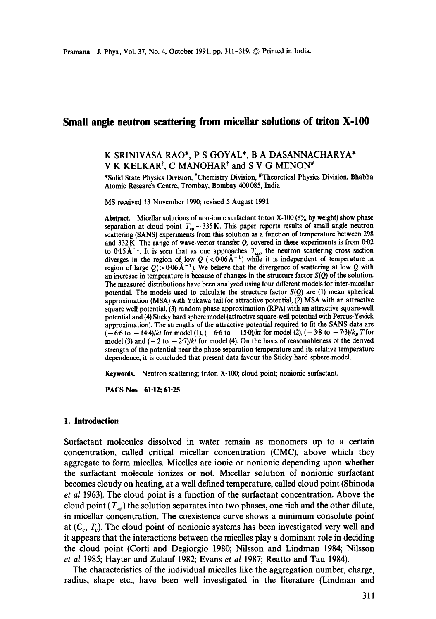# **Small angle neutron scattering from miceilar solutions of triton X-100**

# K SRINIVASA RAO\*, P S GOYAL\*, B A DASANNACHARYA\* V K KELKAR<sup>†</sup>, C MANOHAR<sup>†</sup> and S V G MENON<sup>#</sup>

\*Solid State Physics Division, tChemistry Division, #Theoretical Physics Division, Bhabha Atomic Research Centre, Trombay, Bombay 400085, India

MS received 13 November 1990; revised 5 August 1991

Abstract. Micellar solutions of non-ionic surfactant triton X-100 (8% by weight) show phase separation at cloud point  $T_{cp} \sim 335$  K. This paper reports results of small angle neutron scattering (SANS) experiments from this solution as a function of temperature between 298 and  $332$  K. The range of wave-vector transfer Q, covered in these experiments is from 0.02 to  $0.15\text{A}^{-1}$ . It is seen that as one approaches  $T_{\text{cp}}$ , the neutron scattering cross section diverges in the region of low  $Q$  ( $0.06 \text{ A}^{-1}$ ) while it is independent of temperature in region of large  $Q(>0.06\text{\AA}^{-1})$ . We believe that the divergence of scattering at low Q with an increase in temperature is because of changes in the structure factor  $S(Q)$  of the solution. The measured distributions have been analyzed using four different models for inter-micellar potential. The models used to calculate the structure factor *S(Q)* are (1) mean spherical approximation (MSA) with Yukawa tail for attractive potential, (2) MSA with an attractive square well potential, (3) random phase approximation (RPA) with an attractive square-well potential and (4) Sticky hard sphere model (attractive square-well potential with Percus-Yevick approximation). The strengths of the attractive potential required to fit the SANS data are  $(-6.6 \text{ to } -14.4)/kt$  for model (1),  $(-6.6 \text{ to } -15.0)/kt$  for model (2),  $(-3.8 \text{ to } -7.3)/k_B T$  for model (3) and  $(-2 \text{ to } -27)/kt$  for model (4). On the basis of reasonableness of the derived strength of the potential near the phase separation temperature and its relative temperature dependence, it is concluded that present data favour the Sticky hard sphere model.

**Keywords.** Neutron scattering; triton X-100; cloud point; nonionic surfactant.

PACS Nos 61-12; 61.25

#### **1. Introduction**

Surfactant molecules dissolved in water remain as monomers up to a certain concentration, called critical micellar concentration (CMC), above which they aggregate to form micelles. Micelles are ionic or nonionic depending upon whether the surfactant molecule ionizes or not. Micellar solution of nonionic surfactant becomes cloudy on heating, at a well defined temperature, called cloud point (Shinoda *et al* 1963). The cloud point is a function of the surfactant concentration. Above the cloud point  $(T_{\rm cp})$  the solution separates into two phases, one rich and the other dilute, in micellar concentration. The coexistence curve shows a minimum consolute point at  $(C_c, T_c)$ . The cloud point of nonionic systems has been investigated very well and it appears that the interactions between the micelles play a dominant role in deciding the cloud point (Corti and Degiorgio 1980; Nilsson and Lindman 1984; Nilsson *et al* 1985; Hayter and Zulauf 1982; Evans *et al* 1987; Reatto and Tau 1984).

The characteristics of the individual micelles like the aggregation number, charge, radius, shape etc., have been well investigated in the literature (Lindman and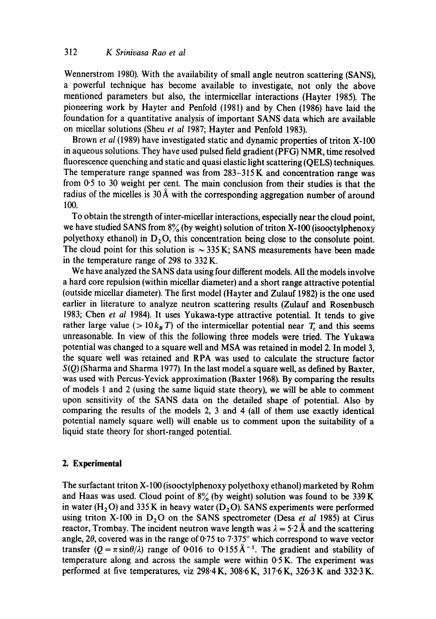Wennerstrom 1980). With the availability of small angle neutron scattering (SANS), a powerful technique has become available to investigate, not only the above mentioned parameters but also, the intermicellar interactions (Hayter 1985). The pioneering work by Hayter and Penfold (1981) and by Chen (1986) have laid the foundation for a quantitative analysis of important SANS data which are available on micellar solutions (Sheu *et al* 1987; Hayter and Penfold 1983).

Brown *et al* (1989) have investigated static and dynamic properties of triton X-100 in aqueous solutions. They have used pulsed field gradient (PFG) NMR, time resolved fluorescence quenching and static and quasi elastic light scattering (QELS) techniques. The temperature range spanned was from 283-315 K and concentration range was from 0.5 to 30 weight per cent. The main conclusion from their studies is that the radius of the micelles is  $30 \text{\AA}$  with the corresponding aggregation number of around 100.

To obtain the strength of inter-micellar interactions, especially near the cloud point, we have studied SANS from  $8\%$  (by weight) solution of triton X-100 (isooctylphenoxy polyethoxy ethanol) in  $D_2O$ , this concentration being close to the consolute point. The cloud point for this solution is  $\sim$  335 K; SANS measurements have been made in the temperature range of 298 to 332 K.

We have analyzed the SANS data using four different models. All the models involve a hard core repulsion (within micellar diameter) and a short range attractive potential (outside micellar diameter). The first model (Hayter and Zulauf 1982) is the one used earlier in literature to analyze neutron scattering results (Zulauf and Rosenbusch 1983; Chen *et al* 1984). It uses Yukawa-type attractive potential. It tends to give rather large value ( $> 10 k_B T$ ) of the intermicellar potential near  $T_c$  and this seems unreasonable. In view of this the following three models were tried. The Yukawa potential was changed to a square well and MSA was retained in model 2. In model 3, the square well was retained and RPA was used to calculate the structure factor *S(Q)* (Sharma and Sharma 1977). In the last model a square well, as defined by Baxter, was used with Percus-Yevick approximation (Baxter 1968). By comparing the results of models 1 and 2 (using the same liquid state theory), we will be able to comment upon sensitivity of the SANS data on the detailed shape of potential. Also by comparing the results of the models 2, 3 and 4 (all of them use exactly identical potential namely square well) will enable us to comment upon the suitability of a liquid state theory for short-ranged potential.

# **2. Experimental**

The surfactant triton X-100 (isooctylphenoxy polyethoxy ethanol) marketed by Rohm and Haas was used. Cloud point of  $8\%$  (by weight) solution was found to be 339 K in water (H<sub>2</sub>O) and 335 K in heavy water (D<sub>2</sub>O). SANS experiments were performed using triton X-100 in  $D_2O$  on the SANS spectrometer (Desa *et al* 1985) at Cirus reactor, Trombay. The incident neutron wave length was  $\lambda = 5.2$  Å and the scattering angle, 2 $\theta$ , covered was in the range of 0.75 to 7.375° which correspond to wave vector transfer  $(Q = \pi \sin{\theta/\lambda})$  range of 0.016 to 0.155 Å<sup>-1</sup>. The gradient and stability of temperature along and across the sample were within  $0.5 K$ . The experiment was performed at five temperatures, viz 298.4 K, 308.6 K, 317.6 K, 326.3 K and 332.3 K.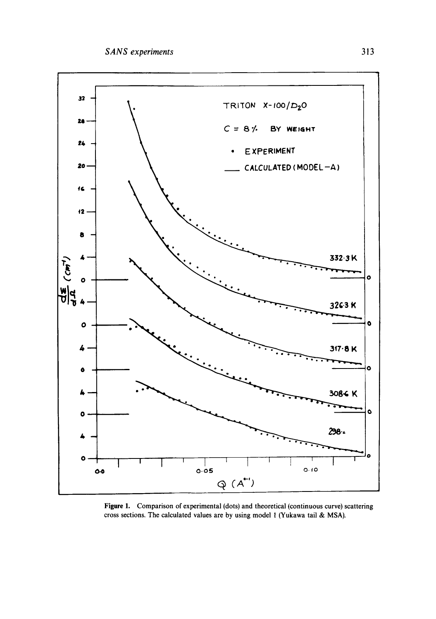

Figure 1. Comparison of experimental (dots) and theoretical (continuous curve) scattering cross sections. The calculated values are by using model 1 (Yukawa tail & MSA).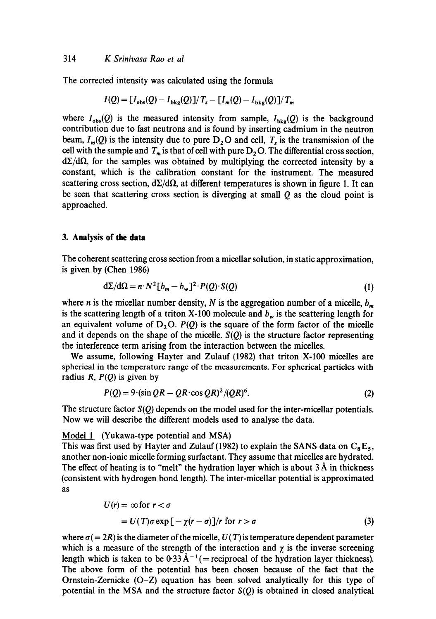The corrected intensity was calculated using the formula

$$
I(Q) = [I_{obs}(Q) - I_{bkg}(Q)]/T_s - [I_m(Q) - I_{bkg}(Q)]/T_m
$$

where  $L(\mathcal{O})$  is the measured intensity from sample,  $L(\mathcal{O})$  is the background intensity from sample,  $L(\mathcal{O})$  is the background intensity from sample,  $L(\mathcal{O})$  is the background intensity from sample,  $L(\mathcal{O})$  is where  $t_{obs}(\gamma)$  is the measured intensity from sample,  $t_{bkg}(\gamma)$  is the background beam, *I*<sub>c</sub> (Q) is the its relations and is found by inserting eatmingin in the heution beam,  $t_m(\mathbf{y})$  is the intensity due to pure  $D_2$ O and cell,  $t_s$  is the transmission of the cell with the sample and  $T_m$  is that of cell with pure  $D_2O$ . The differential cross section,  $d\Sigma/d\Omega$ , for the samples was obtained by multiplying the corrected intensity by a constant, which is the calibration constant for the instrument. The measured scattering cross section,  $d\Sigma/d\Omega$ , at different temperatures is shown in figure 1. It can  $\frac{1}{2}$  section,  $\frac{1}{2}$  as  $\frac{1}{2}$  at since calculated point is smown in figure 1. It can  $\alpha$  such that

## **3. Analysis of the data**

The coherent scattering cross section from a micellar solution, in static approximation,  $\frac{1}{2}$  is concrete scattering  $\frac{1}{2}$ 

$$
d\Sigma/d\Omega = n \cdot N^2 \left[ b_m - b_w \right]^2 \cdot P(Q) \cdot S(Q)
$$
 (1)

where n is the micellar number density, N is the aggregation number of a micelle, b,  $\alpha$ which  $n$  is the integral number density,  $n$  is the aggregation number of a fineme,  $v_m$ is the scattering length of a triton X-100 molecule and  $b_w$  is the scattering length for an equivalent volume of  $D_2O$ .  $P(Q)$  is the square of the form factor of the micelle and it depends on the shape of the micelle.  $S(Q)$  is the structure factor representing the interference term arising from the interaction between the micelles.

We assume, following Hayter and Zulauf (1982) that triton X-100 micelles are spherical in the temperature range of the measurements. For spherical particles with radius  $R$ ,  $P(O)$  is given by

$$
P(Q) = 9 \cdot (\sin QR - QR \cdot \cos QR)^2 / (QR)^6. \tag{2}
$$

The structure factor *S(Q)* depends on the model used for the inter-micellar potentials. The structure factor  $S(Q)$  depends on the model used for the inter-fine

#### Model 1 (Yukawa-type potential and MSA)  $\frac{M[0]{\text{U}}}{\text{U}}$  (1982) to explain the SANS data on CaEs,  $\alpha = 0$

This was inst used by Hayter and Zulaur  $(1902)$  to explain the SAT of data on  $C_8E_5$ , another non-ionic micelle forming surfactant. They assume that micelles are hydrated. The effect of heating is to "melt" the hydration layer which is about  $3 \AA$  in thickness (consistent with hydrogen bond length). The inter-micellar potential is approximated as

$$
U(r) = \infty \text{ for } r < \sigma
$$
  
=  $U(T)\sigma \exp[-\chi(r-\sigma)]/r$  for  $r > \sigma$  (3)

where transformation is the diameter of the microscopic of the microscopic parameter  $\mathcal{L}$ where  $\delta$   $(= 2K)$  is the diameter of the interior,  $\delta$  (1) is temperature dependent parameter which is a measure of the strength of the interaction and  $\chi$  is the inverse screening. length which is taken to be  $0.33 \text{ Å}^{-1}$  (= reciprocal of the hydration layer thickness). The above form of the potential has been chosen because of the fact that the Ornstein-Zernicke (O-Z) equation has been solved analytically for this type of potential in the MSA and the structure factor  $S(Q)$  is obtained in closed analytical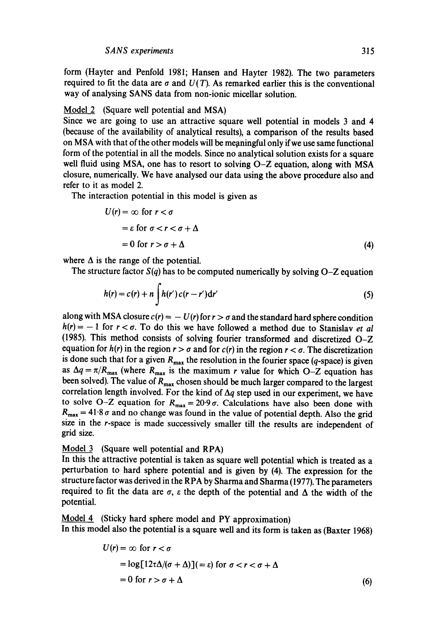form (Hayter and Penfold 1981; Hansen and Hayter 1982). The two parameters required to fit the data are  $\sigma$  and  $U(T)$ . As remarked earlier this is the conventional way of analysing SANS data from non-ionic micellar solution.

#### Model 2 (Square well potential and MSA)

Since we are going to use an attractive square well potential in models 3 and 4 (because of the availability of analytical results), a comparison of the results based on MSA with that of the other models will be meaningful only if we use same functional form of the potential in all the models. Since no analytical solution exists for a square well fluid using MSA, one has to resort to solving O-Z equation, along with MSA closure, numerically. We have analysed our data using the above procedure also and refer to it as model 2.

The interaction potential in this model is given as

$$
U(r) = \infty \text{ for } r < \sigma
$$
  
=  $\varepsilon$  for  $\sigma < r < \sigma + \Delta$   
= 0 for  $r > \sigma + \Delta$  (4)

where  $\Delta$  is the range of the potential.

The structure factor  $S(q)$  has to be computed numerically by solving  $O-Z$  equation

$$
h(r) = c(r) + n \int h(r') c(r - r') dr'
$$
 (5)

along with MSA closure  $c(r) = -U(r)$  for  $r > \sigma$  and the standard hard sphere condition  $h(r) = -1$  for  $r < \sigma$ . To do this we have followed a method due to Stanislav *et al* (1985). This method consists of solving fourier transformed and discretized O-Z equation for  $h(r)$  in the region  $r > \sigma$  and for  $c(r)$  in the region  $r < \sigma$ . The discretization is done such that for a given  $R_{\text{max}}$  the resolution in the fourier space (q-space) is given as  $\Delta q = \pi/R_{\text{max}}$  (where  $R_{\text{max}}$  is the maximum r value for which O-Z equation has been solved). The value of  $R_{\text{max}}$  chosen should be much larger compared to the largest correlation length involved. For the kind of  $\Delta q$  step used in our experiment, we have to solve O-Z equation for  $R_{\text{max}} = 20.9 \sigma$ . Calculations have also been done with  $R_{\text{max}} = 41.8 \sigma$  and no change was found in the value of potential depth. Also the grid size in the r-space is made successively smaller till the results are independent of grid size.

## Model 3 (Square well potential and RPA)

In this the attractive potential is taken as square well potential which is treated as a perturbation to hard sphere potential and is given by (4). The expression for the structure factor was derived in the RPA by Sharma and Sharma (1977). The parameters required to fit the data are  $\sigma$ ,  $\varepsilon$  the depth of the potential and  $\Delta$  the width of the potential.

Model 4 (Sticky hard sphere model and PY approximation) In this model also the potential is a square well and its form is taken as (Baxter 1968)

$$
U(r) = \infty \text{ for } r < \sigma
$$
  
= log[12 $\tau\Delta/(\sigma + \Delta)$ ](=  $\varepsilon$ ) for  $\sigma < r < \sigma + \Delta$   
= 0 for  $r > \sigma + \Delta$  (6)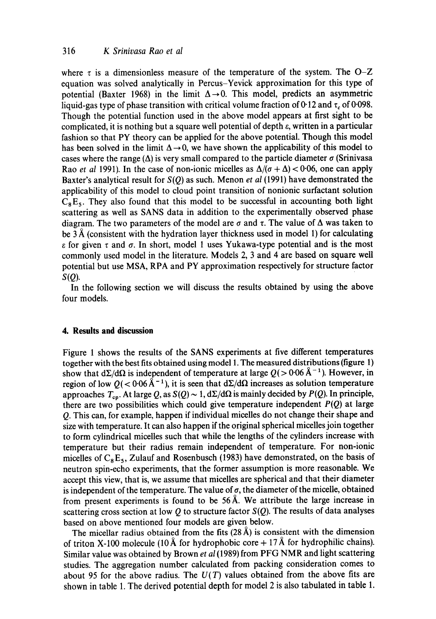where  $\tau$  is a dimensionless measure of the temperature of the system. The O-Z equation was solved analytically in Percus-Yevick approximation for this type of potential (Baxter 1968) in the limit  $\Delta \rightarrow 0$ . This model, predicts an asymmetric liquid-gas type of phase transition with critical volume fraction of 0.12 and  $\tau_c$  of 0.098. Though the potential function used in the above model appears at first sight to be complicated, it is nothing but a square well potential of depth e, written in a particular fashion so that PY theory can be applied for the above potential. Though this model has been solved in the limit  $\Delta \rightarrow 0$ , we have shown the applicability of this model to cases where the range ( $\Delta$ ) is very small compared to the particle diameter  $\sigma$  (Srinivasa Rao *et al* 1991). In the case of non-ionic micelles as  $\Delta/(\sigma + \Delta) < 0.06$ , one can apply Baxter's analytical result for *S(Q)* as such. Menon *et al* (1991) have demonstrated the applicability of this model to cloud point transition of nonionic surfactant solution  $C_8E_5$ . They also found that this model to be successful in accounting both light scattering as well as SANS data in addition to the experimentally observed phase diagram. The two parameters of the model are  $\sigma$  and  $\tau$ . The value of  $\Delta$  was taken to be  $3~\text{\AA}$  (consistent with the hydration layer thickness used in model 1) for calculating  $\epsilon$  for given  $\tau$  and  $\sigma$ . In short, model 1 uses Yukawa-type potential and is the most commonly used model in the literature. Models 2, 3 and 4 are based on square well potential but use MSA, RPA and PY approximation respectively for structure factor  $S(O)$ .

In the following section we will discuss the results obtained by using the above four models.

#### **4. Results and discussion**

Figure 1 shows the results of the SANS experiments at five different temperatures together with the best fits obtained using model 1. The measured distributions (figure 1) show that  $d\Sigma/d\Omega$  is independent of temperature at large  $Q(>0.06 \text{ Å}^{-1})$ . However, in region of low  $Q(< 0.06 \text{ Å}^{-1})$ , it is seen that  $d\Sigma/d\Omega$  increases as solution temperature approaches  $T_{\text{en}}$ . At large Q, as  $S(Q) \sim 1$ ,  $d\Sigma/d\Omega$  is mainly decided by  $P(Q)$ . In principle, there are two possibilities which could give temperature independent  $P(Q)$  at large Q. This can, for example, happen if individual micelles do not change their shape and size with temperature. It can also happen if the original spherical micelles join together to form cylindrical micelles such that while the lengths of the cylinders increase with temperature but their radius remain independent of temperature. For non-ionic micelles of  $C_8E_5$ , Zulauf and Rosenbusch (1983) have demonstrated, on the basis of neutron spin-echo experiments, that the former assumption is more reasonable. We accept this view, that is, we assume that micelles are spherical and that their diameter is independent of the temperature. The value of  $\sigma$ , the diameter of the micelle, obtained from present experiments is found to be  $56\text{\AA}$ . We attribute the large increase in scattering cross section at low Q to structure factor  $S(Q)$ . The results of data analyses based on above mentioned four models are given below.

The micellar radius obtained from the fits  $(28~\text{Å})$  is consistent with the dimension of triton X-100 molecule (10 Å for hydrophobic core  $+ 17$  Å for hydrophilic chains). Similar value was obtained by Brown *et al* (1989) from PFG NMR and light scattering studies. The aggregation number calculated from packing consideration comes to about 95 for the above radius. The  $U(T)$  values obtained from the above fits are shown in table 1. The derived potential depth for model 2 is also tabulated in table 1.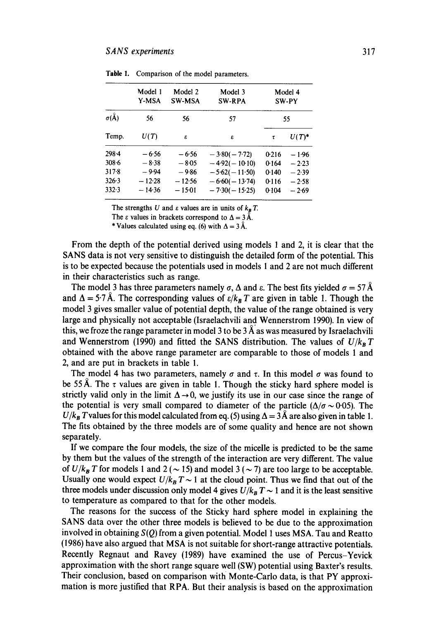|               | Model 1<br>Y-MSA<br>56 | Model 2<br><b>SW-MSA</b><br>56 | Model 3<br><b>SW-RPA</b><br>57 | Model 4<br>SW-PY<br>55 |          |
|---------------|------------------------|--------------------------------|--------------------------------|------------------------|----------|
| $\sigma(\AA)$ |                        |                                |                                |                        |          |
| Temp.         | U(T)                   | £                              | £                              | τ                      | $U(T)^*$ |
| $298 - 4$     | $-6.56$                | $-6.56$                        | $-3.80(-7.72)$                 | 0.216                  | $-1.96$  |
| $308 - 6$     | $-8.38$                | $-8.05$                        | $-4.92(-10.10)$                | 0.164                  | $-2.23$  |
| $317 - 8$     | $-9.94$                | $-9.86$                        | $-5.62(-11.50)$                | 0.140                  | $-2.39$  |
| 326.3         | $-12.28$               | $-12.56$                       | $-6.60(-13.74)$                | 0.116                  | $-2.58$  |
| 332.3         | $-14.36$               | $-15.01$                       | $-7.30(-15.25)$                | 0.104                  | $-2.69$  |

Table 1. Comparison of the model parameters.

The strengths U and  $\varepsilon$  values are in units of  $k_B T$ .

The  $\varepsilon$  values in brackets correspond to  $\Delta = 3 \text{ Å}$ .

\* Values calculated using eq. (6) with  $\Delta = 3 \AA$ .

From the depth of the potential derived using models 1 and 2, it is clear that the SANS data is not very sensitive to distinguish the detailed form of the potential. This is to be expected because the potentials used in models 1 and 2 are not much different in their characteristics such as range.

The model 3 has three parameters namely  $\sigma$ ,  $\Delta$  and  $\varepsilon$ . The best fits yielded  $\sigma = 57~\text{\AA}$ and  $\Delta = 5.7$  Å. The corresponding values of  $\varepsilon/k_B T$  are given in table 1. Though the model 3 gives smaller value of potential depth, the value of the range obtained is very large and physically not acceptable (Israelachvili and Wennerstrom 1990). In view of this, we froze the range parameter in model 3 to be  $3\,\AA$  as was measured by Israelachvili and Wennerstrom (1990) and fitted the SANS distribution. The values of  $U/k_B T$ obtained with the above range parameter are comparable to those of models 1 and 2, and are put in brackets in table 1.

The model 4 has two parameters, namely  $\sigma$  and  $\tau$ . In this model  $\sigma$  was found to be 55 Å. The  $\tau$  values are given in table 1. Though the sticky hard sphere model is strictly valid only in the limit  $\Delta \rightarrow 0$ , we justify its use in our case since the range of the potential is very small compared to diameter of the particle  $(\Delta/\sigma \sim 0.05)$ . The  $U/k_B T$  values for this model calculated from eq. (5) using  $\Delta = 3\text{\AA}$  are also given in table 1. The fits obtained by the three models are of some quality and hence are not shown separately.

If we compare the four models, the size of the micelle is predicted to be the same by them but the values of the strength of the interaction are very different. The value of  $U/k_B T$  for models 1 and 2 ( $\sim$  15) and model 3 ( $\sim$  7) are too large to be acceptable. Usually one would expect  $U/k_B T \sim 1$  at the cloud point. Thus we find that out of the three models under discussion only model 4 gives  $U/k_B T \sim 1$  and it is the least sensitive to temperature as compared to that for the other models.

The reasons for the success of the Sticky hard sphere model in explaining the SANS data over the other three models is believed to be due to the approximation involved in obtaining *S(Q)* from a given potential. Model 1 uses MSA. Tau and Reatto (1986) have also argued that MSA is not suitable for short-range attractive potentials. Recently Regnaut and Ravey (1989) have examined the use of Percus-Yevick approximation with the short range square well (SW) potential using Baxter's results. Their conclusion, based on comparison with Monte-Carlo data, is that PY approximation is more justified that RPA. But their analysis is based on the approximation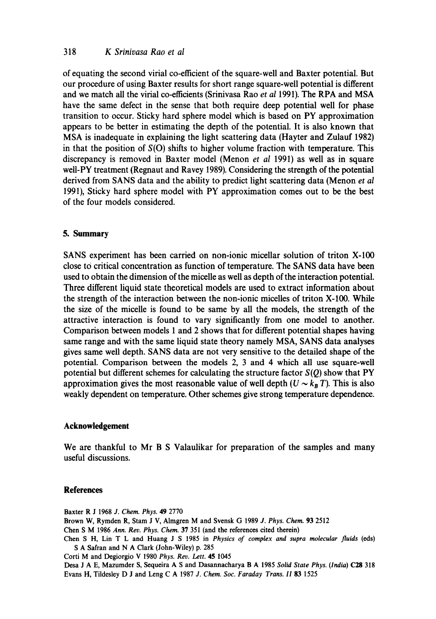#### 318 *K Srinivasa Rao et al*

of equating the second virial co-efficient of the square-well and Baxter potential. But our procedure of using Baxter results for short range square-well potential is different and we match all the virial co-efficients (Srinivasa Rao *et al* 1991). The RPA and MSA have the same defect in the sense that both require deep potential well for phase transition to occur. Sticky hard sphere model which is based on PY approximation appears to be better in estimating the depth of the potential. It is also known that MSA is inadequate in explaining the light scattering data (Hayter and Zulauf 1982) in that the position of  $S(O)$  shifts to higher volume fraction with temperature. This discrepancy is removed in Baxter model (Menon *et al* 1991) as well as in square well-PY treatment (Regnaut and Ravey 1989). Considering the strength of the potential derived from SANS data and the ability to predict light scattering data (Menon *et al*  1991), Sticky hard sphere model with PY approximation comes out to be the best of the four models considered.

#### **5. Summary**

SANS experiment has been carried on non-ionic micellar solution of triton X-100 close to critical concentration as function of temperature. The SANS data have been used to obtain the dimension of the micelle as well as depth of the interaction potential. Three different liquid state theoretical models are used to extract information about the strength of the interaction between the non-ionic micelles of triton X-100. While the size of the micelle is found to be same by all the models, the strength of the attractive interaction is found to vary significantly from one model to another. Comparison between models 1 and 2 shows that for different potential shapes having same range and with the same liquid state theory namely MSA, SANS data analyses gives same well depth. SANS data are not very sensitive to the detailed shape of the potential. Comparison between the models 2, 3 and 4 which all use square-well potential but different schemes for calculating the structure factor *S(Q)* show that PY approximation gives the most reasonable value of well depth  $(U \sim k_B T)$ . This is also weakly dependent on temperature. Other schemes give strong temperature dependence.

## **Acknowledgement**

We are thankful to Mr B S Valaulikar for preparation of the samples and many useful discussions.

#### **References**

Baxter R J 1968 *J. Chem. Phys.* 49 2770 Brown W, Rymden R, Stam J V, Almgren M and Svensk G 1989 *J. Phys. Chem.* 93 2512 Chen S M 1986 *Ann. Rev. Phys. Chem.* 37 351 (and the references cited therein) Chen S H, Lin T L and Huang J S 1985 in *Physics of complex and supra molecular fluids* (eds) S A Safran and N A Clark (John-Wiley) p. 285 Corti M and Degiorgio V 1980 *Phys. Rev. Lett.* 45 1045 Desa J A E, Mazumder S, Sequeira A S and Dasannacharya B A 1985 *Solid State Phys. (India)* C28 318 Evans H, Tildesley D J and Leng C A 1987 *J. Chem. Soc. Faraday Trans. II 83* 1525